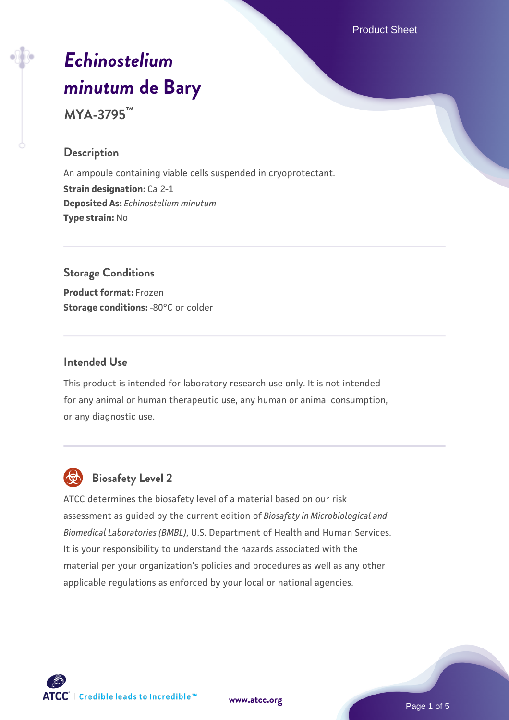Product Sheet

# *[Echinostelium](https://www.atcc.org/products/mya-3795) [minutum](https://www.atcc.org/products/mya-3795)* **[de Bary](https://www.atcc.org/products/mya-3795)**

**MYA-3795™**

### **Description**

An ampoule containing viable cells suspended in cryoprotectant. **Strain designation: Ca 2-1 Deposited As:** *Echinostelium minutum* **Type strain:** No

# **Storage Conditions**

**Product format:** Frozen **Storage conditions: -80°C or colder** 

#### **Intended Use**

This product is intended for laboratory research use only. It is not intended for any animal or human therapeutic use, any human or animal consumption, or any diagnostic use.



# **Biosafety Level 2**

ATCC determines the biosafety level of a material based on our risk assessment as guided by the current edition of *Biosafety in Microbiological and Biomedical Laboratories (BMBL)*, U.S. Department of Health and Human Services. It is your responsibility to understand the hazards associated with the material per your organization's policies and procedures as well as any other applicable regulations as enforced by your local or national agencies.

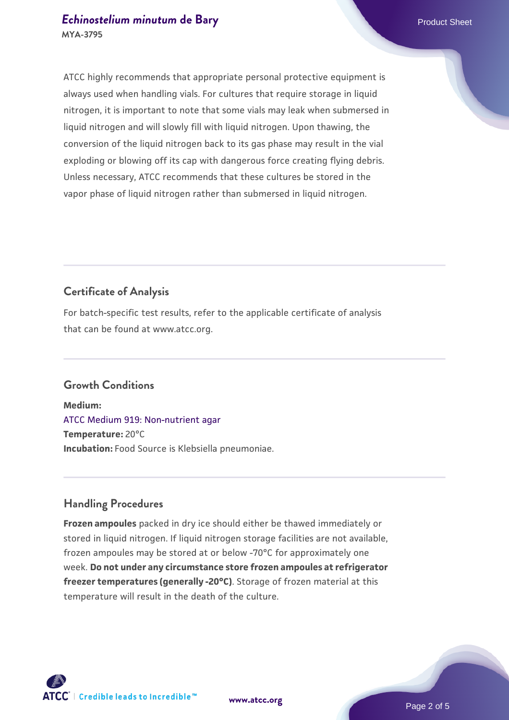#### **[Echinostelium minutum](https://www.atcc.org/products/mya-3795) [de Bary](https://www.atcc.org/products/mya-3795) Product Sheet** Product Sheet **MYA-3795**

ATCC highly recommends that appropriate personal protective equipment is always used when handling vials. For cultures that require storage in liquid nitrogen, it is important to note that some vials may leak when submersed in liquid nitrogen and will slowly fill with liquid nitrogen. Upon thawing, the conversion of the liquid nitrogen back to its gas phase may result in the vial exploding or blowing off its cap with dangerous force creating flying debris. Unless necessary, ATCC recommends that these cultures be stored in the vapor phase of liquid nitrogen rather than submersed in liquid nitrogen.

# **Certificate of Analysis**

For batch-specific test results, refer to the applicable certificate of analysis that can be found at www.atcc.org.

# **Growth Conditions**

**Medium:**  [ATCC Medium 919: Non-nutrient agar](https://www.atcc.org/-/media/product-assets/documents/microbial-media-formulations/9/1/9/atcc-medium-919.pdf?rev=f4e1e31d2b4249c2a4e4c31a4c703c9e) **Temperature:** 20°C **Incubation:** Food Source is Klebsiella pneumoniae.

# **Handling Procedures**

**Frozen ampoules** packed in dry ice should either be thawed immediately or stored in liquid nitrogen. If liquid nitrogen storage facilities are not available, frozen ampoules may be stored at or below -70°C for approximately one week. **Do not under any circumstance store frozen ampoules at refrigerator freezer temperatures (generally -20°C)**. Storage of frozen material at this temperature will result in the death of the culture.

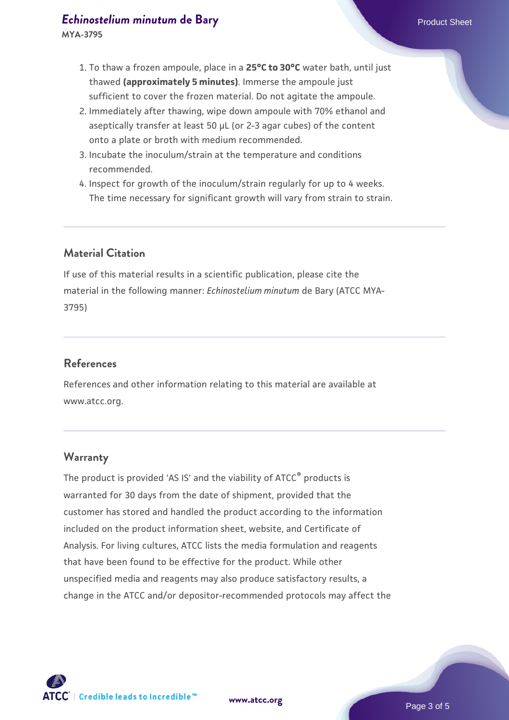#### **[Echinostelium minutum](https://www.atcc.org/products/mya-3795) [de Bary](https://www.atcc.org/products/mya-3795) Product Sheet** Product Sheet

**MYA-3795**

- 1. To thaw a frozen ampoule, place in a **25°C to 30°C** water bath, until just thawed **(approximately 5 minutes)**. Immerse the ampoule just sufficient to cover the frozen material. Do not agitate the ampoule.
- 2. Immediately after thawing, wipe down ampoule with 70% ethanol and aseptically transfer at least 50 µL (or 2-3 agar cubes) of the content onto a plate or broth with medium recommended.
- 3. Incubate the inoculum/strain at the temperature and conditions recommended.
- 4. Inspect for growth of the inoculum/strain regularly for up to 4 weeks. The time necessary for significant growth will vary from strain to strain.

# **Material Citation**

If use of this material results in a scientific publication, please cite the material in the following manner: *Echinostelium minutum* de Bary (ATCC MYA-3795)

# **References**

References and other information relating to this material are available at www.atcc.org.

#### **Warranty**

The product is provided 'AS IS' and the viability of ATCC® products is warranted for 30 days from the date of shipment, provided that the customer has stored and handled the product according to the information included on the product information sheet, website, and Certificate of Analysis. For living cultures, ATCC lists the media formulation and reagents that have been found to be effective for the product. While other unspecified media and reagents may also produce satisfactory results, a change in the ATCC and/or depositor-recommended protocols may affect the

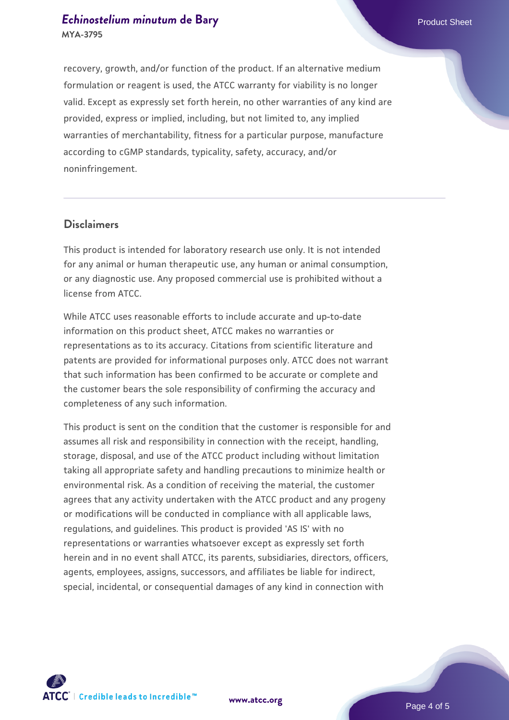#### **[Echinostelium minutum](https://www.atcc.org/products/mya-3795) [de Bary](https://www.atcc.org/products/mya-3795) Product Sheet** Product Sheet **MYA-3795**

recovery, growth, and/or function of the product. If an alternative medium formulation or reagent is used, the ATCC warranty for viability is no longer valid. Except as expressly set forth herein, no other warranties of any kind are provided, express or implied, including, but not limited to, any implied warranties of merchantability, fitness for a particular purpose, manufacture according to cGMP standards, typicality, safety, accuracy, and/or noninfringement.

#### **Disclaimers**

This product is intended for laboratory research use only. It is not intended for any animal or human therapeutic use, any human or animal consumption, or any diagnostic use. Any proposed commercial use is prohibited without a license from ATCC.

While ATCC uses reasonable efforts to include accurate and up-to-date information on this product sheet, ATCC makes no warranties or representations as to its accuracy. Citations from scientific literature and patents are provided for informational purposes only. ATCC does not warrant that such information has been confirmed to be accurate or complete and the customer bears the sole responsibility of confirming the accuracy and completeness of any such information.

This product is sent on the condition that the customer is responsible for and assumes all risk and responsibility in connection with the receipt, handling, storage, disposal, and use of the ATCC product including without limitation taking all appropriate safety and handling precautions to minimize health or environmental risk. As a condition of receiving the material, the customer agrees that any activity undertaken with the ATCC product and any progeny or modifications will be conducted in compliance with all applicable laws, regulations, and guidelines. This product is provided 'AS IS' with no representations or warranties whatsoever except as expressly set forth herein and in no event shall ATCC, its parents, subsidiaries, directors, officers, agents, employees, assigns, successors, and affiliates be liable for indirect, special, incidental, or consequential damages of any kind in connection with